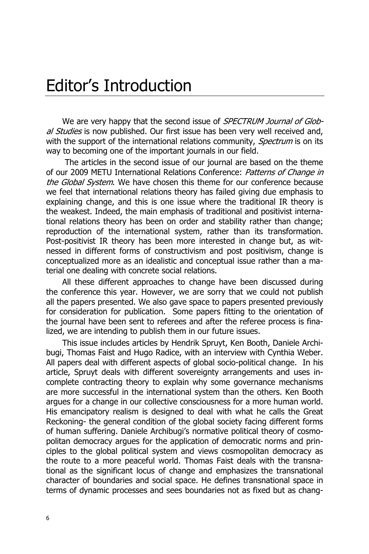## Editor's Introduction

We are very happy that the second issue of SPECTRUM Journal of Global Studies is now published. Our first issue has been very well received and, with the support of the international relations community, *Spectrum* is on its way to becoming one of the important journals in our field.

 The articles in the second issue of our journal are based on the theme of our 2009 METU International Relations Conference: Patterns of Change in the Global System. We have chosen this theme for our conference because we feel that international relations theory has failed giving due emphasis to explaining change, and this is one issue where the traditional IR theory is the weakest. Indeed, the main emphasis of traditional and positivist international relations theory has been on order and stability rather than change; reproduction of the international system, rather than its transformation. Post-positivist IR theory has been more interested in change but, as witnessed in different forms of constructivism and post positivism, change is conceptualized more as an idealistic and conceptual issue rather than a material one dealing with concrete social relations.

All these different approaches to change have been discussed during the conference this year. However, we are sorry that we could not publish all the papers presented. We also gave space to papers presented previously for consideration for publication. Some papers fitting to the orientation of the journal have been sent to referees and after the referee process is finalized, we are intending to publish them in our future issues.

This issue includes articles by Hendrik Spruyt, Ken Booth, Daniele Archibugi, Thomas Faist and Hugo Radice, with an interview with Cynthia Weber. All papers deal with different aspects of global socio-political change. In his article, Spruyt deals with different sovereignty arrangements and uses incomplete contracting theory to explain why some governance mechanisms are more successful in the international system than the others. Ken Booth argues for a change in our collective consciousness for a more human world. His emancipatory realism is designed to deal with what he calls the Great Reckoning- the general condition of the global society facing different forms of human suffering. Daniele Archibugi's normative political theory of cosmopolitan democracy argues for the application of democratic norms and principles to the global political system and views cosmopolitan democracy as the route to a more peaceful world. Thomas Faist deals with the transnational as the significant locus of change and emphasizes the transnational character of boundaries and social space. He defines transnational space in terms of dynamic processes and sees boundaries not as fixed but as chang-